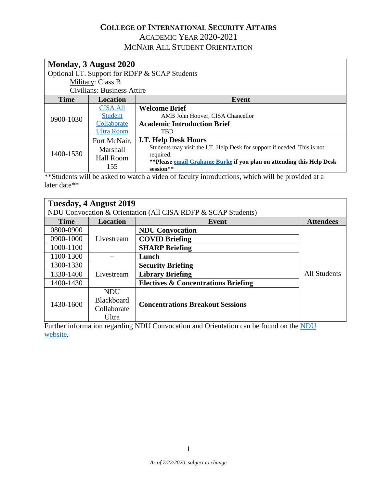## **COLLEGE OF INTERNATIONAL SECURITY AFFAIRS**

ACADEMIC YEAR 2020-2021

MCNAIR ALL STUDENT ORIENTATION

| Monday, 3 August 2020                          |                                   |                                                                                                                                                           |  |  |
|------------------------------------------------|-----------------------------------|-----------------------------------------------------------------------------------------------------------------------------------------------------------|--|--|
| Optional I.T. Support for RDFP & SCAP Students |                                   |                                                                                                                                                           |  |  |
| Military: Class B                              |                                   |                                                                                                                                                           |  |  |
|                                                | <b>Civilians: Business Attire</b> |                                                                                                                                                           |  |  |
| <b>Time</b>                                    | <b>Location</b>                   | Event                                                                                                                                                     |  |  |
| 0900-1030                                      | <b>CISA All</b>                   | <b>Welcome Brief</b>                                                                                                                                      |  |  |
|                                                | <b>Student</b>                    | AMB John Hoover, CISA Chancellor                                                                                                                          |  |  |
|                                                | Collaborate                       | <b>Academic Introduction Brief</b>                                                                                                                        |  |  |
|                                                | <b>Ultra Room</b>                 | <b>TBD</b>                                                                                                                                                |  |  |
| 1400-1530                                      | Fort McNair,                      | <b>I.T. Help Desk Hours</b>                                                                                                                               |  |  |
|                                                | Marshall                          | Students may visit the I.T. Help Desk for support if needed. This is not                                                                                  |  |  |
|                                                | Hall Room                         | required.                                                                                                                                                 |  |  |
|                                                | 155                               | **Please email Grahame Burke if you plan on attending this Help Desk                                                                                      |  |  |
|                                                |                                   | session**<br>$\ast\ast\alpha$ . It is a contribution of the contribution of $\alpha$ . The transition of the contribution of the contribution of $\alpha$ |  |  |

\*\*Students will be asked to watch a video of faculty introductions, which will be provided at a later date\*\*

| Tuesday, 4 August 2019                                        |                   |                                                |                     |
|---------------------------------------------------------------|-------------------|------------------------------------------------|---------------------|
| NDU Convocation & Orientation (All CISA RDFP & SCAP Students) |                   |                                                |                     |
| <b>Time</b>                                                   | <b>Location</b>   | Event                                          | <b>Attendees</b>    |
| 0800-0900                                                     |                   | <b>NDU Convocation</b>                         |                     |
| 0900-1000                                                     | Livestream        | <b>COVID Briefing</b>                          |                     |
| 1000-1100                                                     |                   | <b>SHARP Briefing</b>                          |                     |
| 1100-1300                                                     |                   | Lunch                                          |                     |
| 1300-1330                                                     |                   | <b>Security Briefing</b>                       |                     |
| 1330-1400                                                     | Livestream        | <b>Library Briefing</b>                        | <b>All Students</b> |
| 1400-1430                                                     |                   | <b>Electives &amp; Concentrations Briefing</b> |                     |
|                                                               | <b>NDU</b>        |                                                |                     |
| 1430-1600                                                     | <b>Blackboard</b> | <b>Concentrations Breakout Sessions</b>        |                     |
|                                                               | Collaborate       |                                                |                     |
|                                                               | Ultra             |                                                |                     |

Further information regarding NDU Convocation and Orientation can be found on the [NDU](https://www.ndu.edu/Incoming-Students/AY-20-21-Incoming-Student-Orientation/)  [website.](https://www.ndu.edu/Incoming-Students/AY-20-21-Incoming-Student-Orientation/)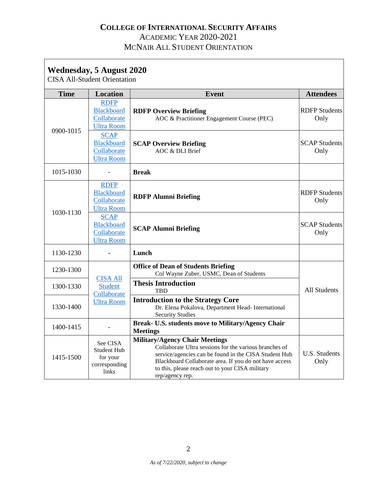## **COLLEGE OF INTERNATIONAL SECURITY AFFAIRS** ACADEMIC YEAR 2020-2021

MCNAIR ALL STUDENT ORIENTATION

| <b>Wednesday, 5 August 2020</b><br><b>CISA All-Student Orientation</b> |                                                                       |                                                                                                                                                                                                                                                                                          |                              |
|------------------------------------------------------------------------|-----------------------------------------------------------------------|------------------------------------------------------------------------------------------------------------------------------------------------------------------------------------------------------------------------------------------------------------------------------------------|------------------------------|
| <b>Time</b>                                                            | <b>Location</b>                                                       | <b>Event</b>                                                                                                                                                                                                                                                                             | <b>Attendees</b>             |
| 0900-1015                                                              | <b>RDFP</b><br><b>Blackboard</b><br>Collaborate<br><b>Ultra Room</b>  | <b>RDFP Overview Briefing</b><br>AOC & Practitioner Engagement Course (PEC)                                                                                                                                                                                                              | <b>RDFP Students</b><br>Only |
|                                                                        | <b>SCAP</b><br><b>Blackboard</b><br>Collaborate<br><b>Ultra Room</b>  | <b>SCAP Overview Briefing</b><br>AOC & DLI Brief                                                                                                                                                                                                                                         | <b>SCAP Students</b><br>Only |
| 1015-1030                                                              |                                                                       | <b>Break</b>                                                                                                                                                                                                                                                                             |                              |
| 1030-1130                                                              | <b>RDFP</b><br><b>Blackboard</b><br>Collaborate<br><b>Ultra Room</b>  | <b>RDFP Alumni Briefing</b>                                                                                                                                                                                                                                                              | <b>RDFP Students</b><br>Only |
|                                                                        | <b>SCAP</b><br>Blackboard<br>Collaborate<br><b>Ultra Room</b>         | <b>SCAP Alumni Briefing</b>                                                                                                                                                                                                                                                              | <b>SCAP Students</b><br>Only |
| 1130-1230                                                              |                                                                       | Lunch                                                                                                                                                                                                                                                                                    |                              |
| 1230-1300                                                              |                                                                       | <b>Office of Dean of Students Briefing</b><br>Col Wayne Zuber, USMC, Dean of Students                                                                                                                                                                                                    |                              |
| 1300-1330                                                              | <b>CISA All</b><br><b>Student</b><br>Collaborate<br><b>Ultra Room</b> | <b>Thesis Introduction</b><br>TBD                                                                                                                                                                                                                                                        | <b>All Students</b>          |
| 1330-1400                                                              |                                                                       | <b>Introduction to the Strategy Core</b><br>Dr. Elena Pokalova, Department Head- International<br><b>Security Studies</b>                                                                                                                                                                |                              |
| 1400-1415                                                              |                                                                       | Break- U.S. students move to Military/Agency Chair<br><b>Meetings</b>                                                                                                                                                                                                                    |                              |
| 1415-1500                                                              | See CISA<br>Student Hub<br>for your<br>corresponding<br>links         | <b>Military/Agency Chair Meetings</b><br>Collaborate Ultra sessions for the various branches of<br>service/agencies can be found in the CISA Student Hub<br>Blackboard Collaborate area. If you do not have access<br>to this, please reach out to your CISA military<br>rep/agency rep. | U.S. Students<br>Only        |